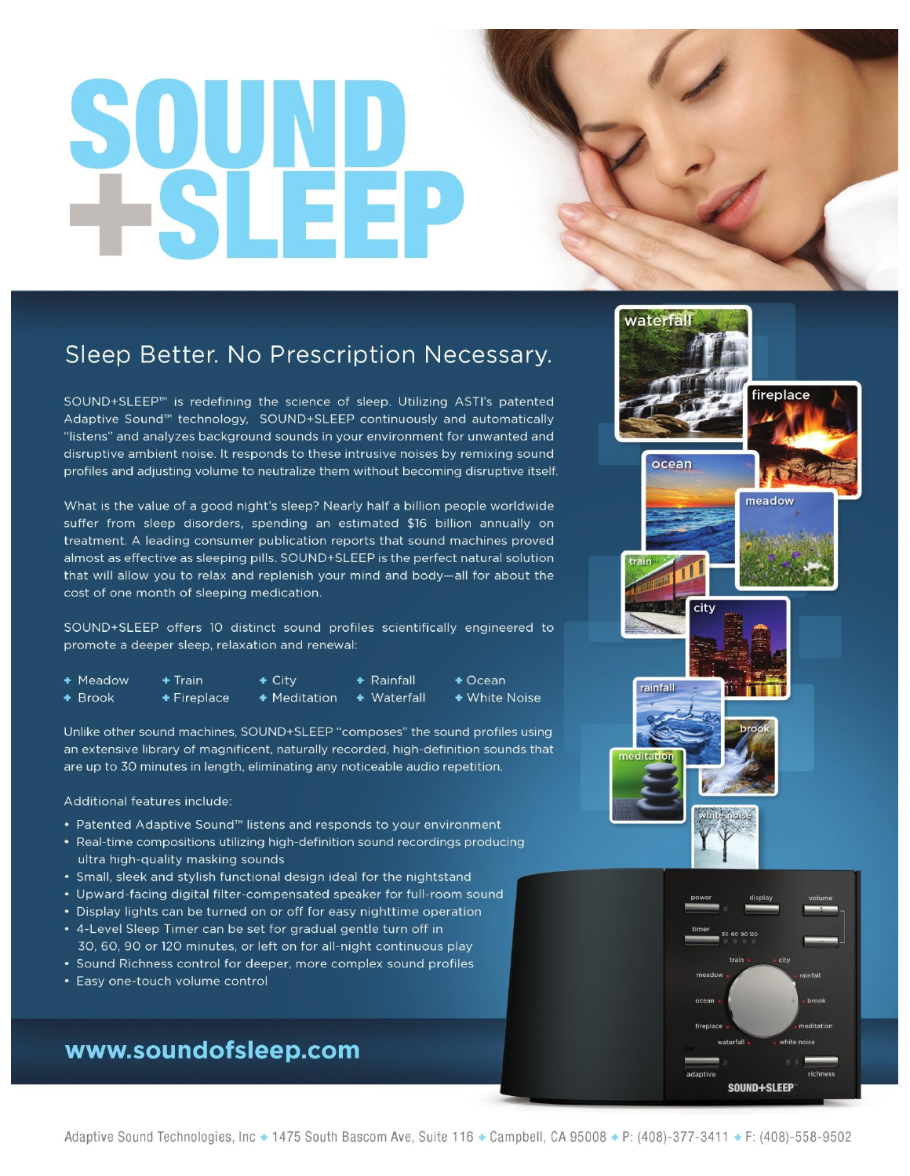# SQUND<br>+SLEEP

# Sleep Better. No Prescription Necessary.

SOUND+SLEEP<sup>™</sup> is redefining the science of sleep. Utilizing ASTI's patented Adaptive Sound™ technology, SOUND+SLEEP continuously and automatically "listens" and analyzes background sounds in your environment for unwanted and disruptive ambient noise. It responds to these intrusive noises by remixing sound profiles and adjusting volume to neutralize them without becoming disruptive itself.

What is the value of a good night's sleep? Nearly half a billion people worldwide suffer from sleep disorders, spending an estimated \$16 billion annually on treatment. A leading consumer publication reports that sound machines proved almost as effective as sleeping pills. SOUND+SLEEP is the perfect natural solution that will allow you to relax and replenish your mind and body-all for about the cost of one month of sleeping medication.

SOUND+SLEEP offers 10 distinct sound profiles scientifically engineered to promote a deeper sleep, relaxation and renewal:

| + Meadow  | $+$ Train        | $\div$ City  | $\div$ Rainfall     | $+$ Ocean     |
|-----------|------------------|--------------|---------------------|---------------|
| $+$ Brook | $\div$ Fireplace | + Meditation | $\bullet$ Waterfall | + White Noise |

Unlike other sound machines, SOUND+SLEEP "composes" the sound profiles using an extensive library of magnificent, naturally recorded, high-definition sounds that are up to 30 minutes in length, eliminating any noticeable audio repetition.

### Additional features include:

- Patented Adaptive Sound<sup>™</sup> listens and responds to your environment
- Real-time compositions utilizing high-definition sound recordings producing ultra high-quality masking sounds
- Small, sleek and stylish functional design ideal for the nightstand
- Upward-facing digital filter-compensated speaker for full-room sound
- Display lights can be turned on or off for easy nighttime operation
- 4-Level Sleep Timer can be set for gradual gentle turn off in 30, 60, 90 or 120 minutes, or left on for all-night continuous play
- Sound Richness control for deeper, more complex sound profiles
- Easy one-touch volume control

# www.soundofsleep.com